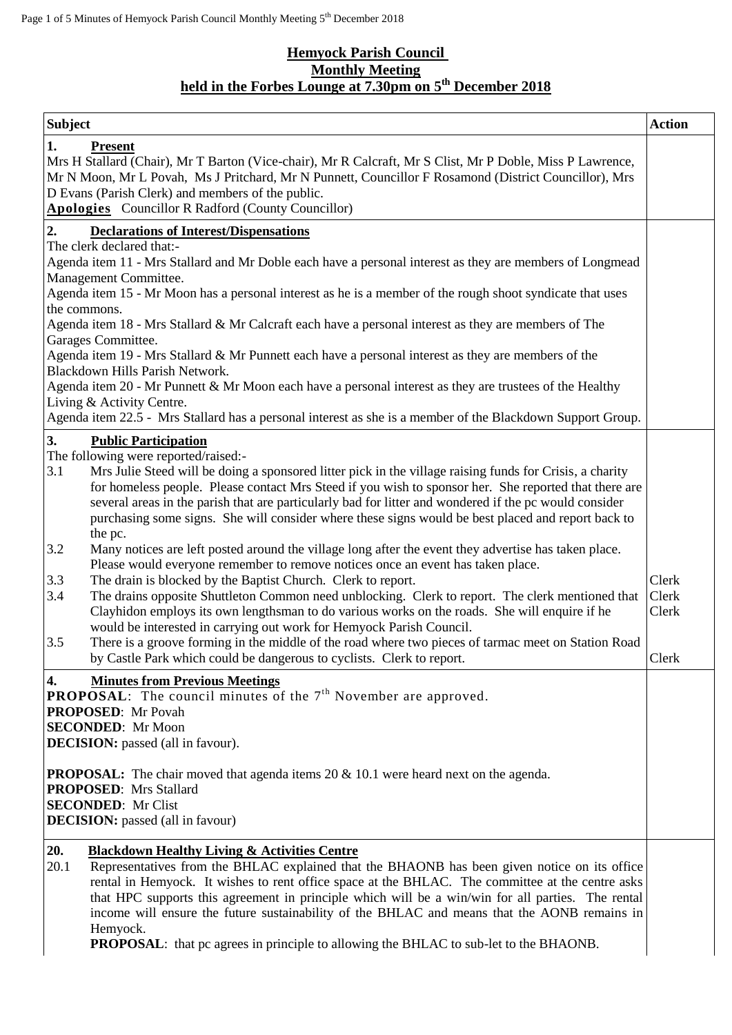## **Hemyock Parish Council Monthly Meeting held in the Forbes Lounge at 7.30pm on 5 th December 2018**

| <b>Subject</b>                                                                                                                         |                                                                                                                                                                                                                                                                                                                                                                                                                                                                                                                                                                              | <b>Action</b>  |  |  |
|----------------------------------------------------------------------------------------------------------------------------------------|------------------------------------------------------------------------------------------------------------------------------------------------------------------------------------------------------------------------------------------------------------------------------------------------------------------------------------------------------------------------------------------------------------------------------------------------------------------------------------------------------------------------------------------------------------------------------|----------------|--|--|
| 1.                                                                                                                                     | <b>Present</b><br>Mrs H Stallard (Chair), Mr T Barton (Vice-chair), Mr R Calcraft, Mr S Clist, Mr P Doble, Miss P Lawrence,<br>Mr N Moon, Mr L Povah, Ms J Pritchard, Mr N Punnett, Councillor F Rosamond (District Councillor), Mrs<br>D Evans (Parish Clerk) and members of the public.<br><b>Apologies</b> Councillor R Radford (County Councillor)                                                                                                                                                                                                                       |                |  |  |
| 2.                                                                                                                                     | <b>Declarations of Interest/Dispensations</b>                                                                                                                                                                                                                                                                                                                                                                                                                                                                                                                                |                |  |  |
|                                                                                                                                        | The clerk declared that:-<br>Agenda item 11 - Mrs Stallard and Mr Doble each have a personal interest as they are members of Longmead                                                                                                                                                                                                                                                                                                                                                                                                                                        |                |  |  |
|                                                                                                                                        | Management Committee.                                                                                                                                                                                                                                                                                                                                                                                                                                                                                                                                                        |                |  |  |
|                                                                                                                                        | Agenda item 15 - Mr Moon has a personal interest as he is a member of the rough shoot syndicate that uses                                                                                                                                                                                                                                                                                                                                                                                                                                                                    |                |  |  |
| the commons.                                                                                                                           |                                                                                                                                                                                                                                                                                                                                                                                                                                                                                                                                                                              |                |  |  |
|                                                                                                                                        | Agenda item 18 - Mrs Stallard & Mr Calcraft each have a personal interest as they are members of The<br>Garages Committee.                                                                                                                                                                                                                                                                                                                                                                                                                                                   |                |  |  |
| Agenda item 19 - Mrs Stallard & Mr Punnett each have a personal interest as they are members of the<br>Blackdown Hills Parish Network. |                                                                                                                                                                                                                                                                                                                                                                                                                                                                                                                                                                              |                |  |  |
|                                                                                                                                        | Agenda item 20 - Mr Punnett & Mr Moon each have a personal interest as they are trustees of the Healthy                                                                                                                                                                                                                                                                                                                                                                                                                                                                      |                |  |  |
|                                                                                                                                        | Living & Activity Centre.<br>Agenda item 22.5 - Mrs Stallard has a personal interest as she is a member of the Blackdown Support Group.                                                                                                                                                                                                                                                                                                                                                                                                                                      |                |  |  |
|                                                                                                                                        |                                                                                                                                                                                                                                                                                                                                                                                                                                                                                                                                                                              |                |  |  |
| 3.                                                                                                                                     | <b>Public Participation</b><br>The following were reported/raised:-                                                                                                                                                                                                                                                                                                                                                                                                                                                                                                          |                |  |  |
| 3.1                                                                                                                                    | Mrs Julie Steed will be doing a sponsored litter pick in the village raising funds for Crisis, a charity<br>for homeless people. Please contact Mrs Steed if you wish to sponsor her. She reported that there are<br>several areas in the parish that are particularly bad for litter and wondered if the pc would consider<br>purchasing some signs. She will consider where these signs would be best placed and report back to<br>the pc.                                                                                                                                 |                |  |  |
| 3.2                                                                                                                                    | Many notices are left posted around the village long after the event they advertise has taken place.                                                                                                                                                                                                                                                                                                                                                                                                                                                                         |                |  |  |
|                                                                                                                                        | Please would everyone remember to remove notices once an event has taken place.                                                                                                                                                                                                                                                                                                                                                                                                                                                                                              |                |  |  |
| 3.3<br>3.4                                                                                                                             | The drain is blocked by the Baptist Church. Clerk to report.<br>The drains opposite Shuttleton Common need unblocking. Clerk to report. The clerk mentioned that                                                                                                                                                                                                                                                                                                                                                                                                             | Clerk<br>Clerk |  |  |
|                                                                                                                                        | Clayhidon employs its own lengthsman to do various works on the roads. She will enquire if he                                                                                                                                                                                                                                                                                                                                                                                                                                                                                | Clerk          |  |  |
|                                                                                                                                        | would be interested in carrying out work for Hemyock Parish Council.                                                                                                                                                                                                                                                                                                                                                                                                                                                                                                         |                |  |  |
| 3.5                                                                                                                                    | There is a groove forming in the middle of the road where two pieces of tarmac meet on Station Road                                                                                                                                                                                                                                                                                                                                                                                                                                                                          |                |  |  |
|                                                                                                                                        | by Castle Park which could be dangerous to cyclists. Clerk to report.                                                                                                                                                                                                                                                                                                                                                                                                                                                                                                        | Clerk          |  |  |
| 4.                                                                                                                                     | <b>Minutes from Previous Meetings</b>                                                                                                                                                                                                                                                                                                                                                                                                                                                                                                                                        |                |  |  |
|                                                                                                                                        | <b>PROPOSAL:</b> The council minutes of the $7th$ November are approved.<br><b>PROPOSED:</b> Mr Povah                                                                                                                                                                                                                                                                                                                                                                                                                                                                        |                |  |  |
|                                                                                                                                        | <b>SECONDED:</b> Mr Moon                                                                                                                                                                                                                                                                                                                                                                                                                                                                                                                                                     |                |  |  |
|                                                                                                                                        | <b>DECISION:</b> passed (all in favour).                                                                                                                                                                                                                                                                                                                                                                                                                                                                                                                                     |                |  |  |
| <b>PROPOSAL:</b> The chair moved that agenda items $20 \& 10.1$ were heard next on the agenda.                                         |                                                                                                                                                                                                                                                                                                                                                                                                                                                                                                                                                                              |                |  |  |
|                                                                                                                                        | <b>PROPOSED:</b> Mrs Stallard                                                                                                                                                                                                                                                                                                                                                                                                                                                                                                                                                |                |  |  |
| <b>SECONDED:</b> Mr Clist<br><b>DECISION:</b> passed (all in favour)                                                                   |                                                                                                                                                                                                                                                                                                                                                                                                                                                                                                                                                                              |                |  |  |
|                                                                                                                                        |                                                                                                                                                                                                                                                                                                                                                                                                                                                                                                                                                                              |                |  |  |
| 20.<br>20.1                                                                                                                            | <b>Blackdown Healthy Living &amp; Activities Centre</b><br>Representatives from the BHLAC explained that the BHAONB has been given notice on its office<br>rental in Hemyock. It wishes to rent office space at the BHLAC. The committee at the centre asks<br>that HPC supports this agreement in principle which will be a win/win for all parties. The rental<br>income will ensure the future sustainability of the BHLAC and means that the AONB remains in<br>Hemyock.<br><b>PROPOSAL:</b> that pc agrees in principle to allowing the BHLAC to sub-let to the BHAONB. |                |  |  |
|                                                                                                                                        |                                                                                                                                                                                                                                                                                                                                                                                                                                                                                                                                                                              |                |  |  |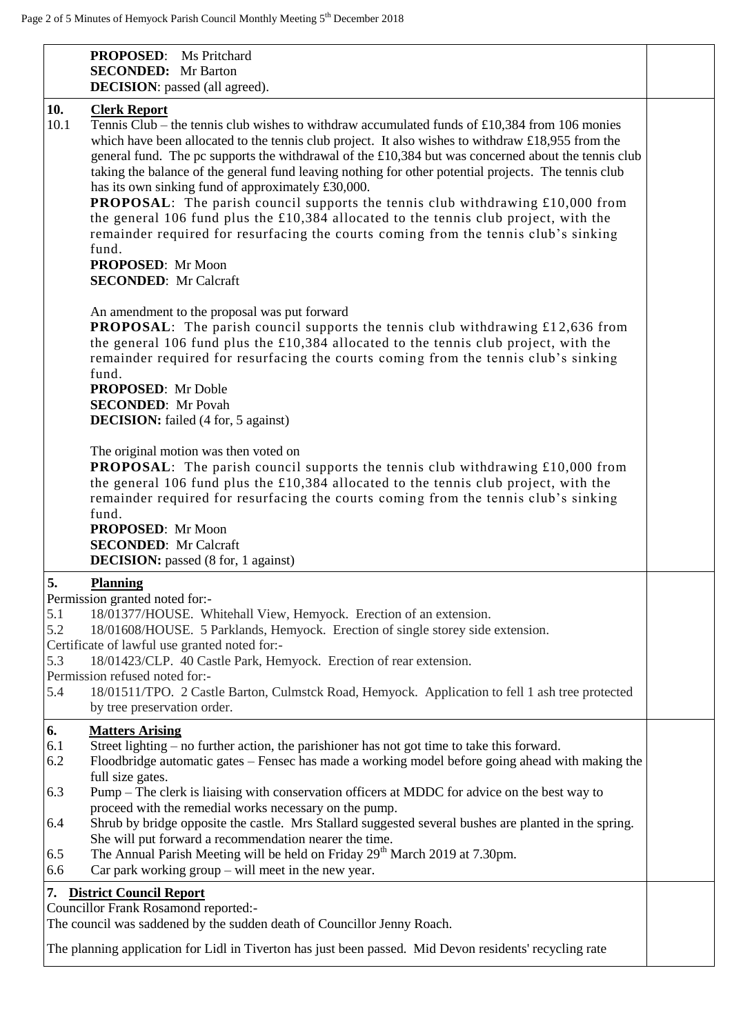| <b>PROPOSED:</b> Ms Pritchard<br><b>SECONDED:</b> Mr Barton<br><b>DECISION</b> : passed (all agreed).                                                                                                                                                                                                                                                                                                                                                                                                                                                                                                                                                                                                                                                                                                                                                        |  |
|--------------------------------------------------------------------------------------------------------------------------------------------------------------------------------------------------------------------------------------------------------------------------------------------------------------------------------------------------------------------------------------------------------------------------------------------------------------------------------------------------------------------------------------------------------------------------------------------------------------------------------------------------------------------------------------------------------------------------------------------------------------------------------------------------------------------------------------------------------------|--|
| 10.<br><b>Clerk Report</b><br>10.1<br>Tennis Club – the tennis club wishes to withdraw accumulated funds of £10,384 from 106 monies<br>which have been allocated to the tennis club project. It also wishes to withdraw $\pounds$ 18,955 from the<br>general fund. The pc supports the withdrawal of the £10,384 but was concerned about the tennis club<br>taking the balance of the general fund leaving nothing for other potential projects. The tennis club<br>has its own sinking fund of approximately £30,000.<br><b>PROPOSAL:</b> The parish council supports the tennis club withdrawing £10,000 from<br>the general 106 fund plus the £10,384 allocated to the tennis club project, with the<br>remainder required for resurfacing the courts coming from the tennis club's sinking<br>fund.<br>PROPOSED: Mr Moon<br><b>SECONDED:</b> Mr Calcraft |  |
| An amendment to the proposal was put forward<br><b>PROPOSAL:</b> The parish council supports the tennis club withdrawing £12,636 from<br>the general 106 fund plus the £10,384 allocated to the tennis club project, with the<br>remainder required for resurfacing the courts coming from the tennis club's sinking<br>fund.<br><b>PROPOSED:</b> Mr Doble<br><b>SECONDED:</b> Mr Povah<br><b>DECISION:</b> failed (4 for, 5 against)                                                                                                                                                                                                                                                                                                                                                                                                                        |  |
| The original motion was then voted on<br><b>PROPOSAL:</b> The parish council supports the tennis club withdrawing £10,000 from<br>the general 106 fund plus the £10,384 allocated to the tennis club project, with the<br>remainder required for resurfacing the courts coming from the tennis club's sinking<br>fund.<br>PROPOSED: Mr Moon<br><b>SECONDED:</b> Mr Calcraft<br><b>DECISION:</b> passed (8 for, 1 against)                                                                                                                                                                                                                                                                                                                                                                                                                                    |  |
| 5.<br><b>Planning</b><br>Permission granted noted for:-<br>5.1<br>18/01377/HOUSE. Whitehall View, Hemyock. Erection of an extension.<br>5.2<br>18/01608/HOUSE. 5 Parklands, Hemyock. Erection of single storey side extension.<br>Certificate of lawful use granted noted for:-<br>5.3<br>18/01423/CLP. 40 Castle Park, Hemyock. Erection of rear extension.<br>Permission refused noted for:-<br>5.4<br>18/01511/TPO. 2 Castle Barton, Culmstck Road, Hemyock. Application to fell 1 ash tree protected<br>by tree preservation order.                                                                                                                                                                                                                                                                                                                      |  |
| 6.<br><b>Matters Arising</b><br>6.1<br>Street lighting – no further action, the parishioner has not got time to take this forward.<br>6.2<br>Floodbridge automatic gates – Fensec has made a working model before going ahead with making the<br>full size gates.<br>6.3<br>Pump – The clerk is liaising with conservation officers at MDDC for advice on the best way to<br>proceed with the remedial works necessary on the pump.<br>Shrub by bridge opposite the castle. Mrs Stallard suggested several bushes are planted in the spring.<br>6.4<br>She will put forward a recommendation nearer the time.<br>The Annual Parish Meeting will be held on Friday 29 <sup>th</sup> March 2019 at 7.30pm.<br>6.5<br>Car park working $group - will meet in the new year.$<br>6.6                                                                              |  |
| 7. District Council Report<br>Councillor Frank Rosamond reported:-<br>The council was saddened by the sudden death of Councillor Jenny Roach.<br>The planning application for Lidl in Tiverton has just been passed. Mid Devon residents' recycling rate                                                                                                                                                                                                                                                                                                                                                                                                                                                                                                                                                                                                     |  |
|                                                                                                                                                                                                                                                                                                                                                                                                                                                                                                                                                                                                                                                                                                                                                                                                                                                              |  |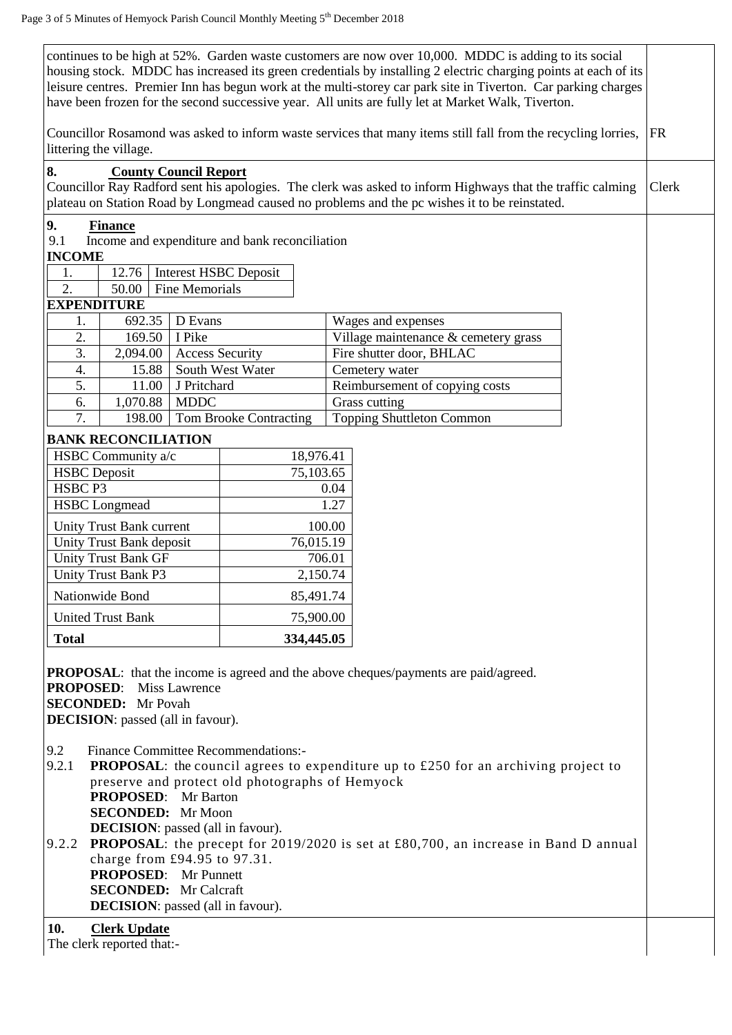| continues to be high at 52%. Garden waste customers are now over 10,000. MDDC is adding to its social<br>housing stock. MDDC has increased its green credentials by installing 2 electric charging points at each of its<br>leisure centres. Premier Inn has begun work at the multi-storey car park site in Tiverton. Car parking charges<br>have been frozen for the second successive year. All units are fully let at Market Walk, Tiverton. |                              |                       |                                                |        |                                                                                                                                                                                                             |           |       |
|--------------------------------------------------------------------------------------------------------------------------------------------------------------------------------------------------------------------------------------------------------------------------------------------------------------------------------------------------------------------------------------------------------------------------------------------------|------------------------------|-----------------------|------------------------------------------------|--------|-------------------------------------------------------------------------------------------------------------------------------------------------------------------------------------------------------------|-----------|-------|
| Councillor Rosamond was asked to inform waste services that many items still fall from the recycling lorries,<br>littering the village.                                                                                                                                                                                                                                                                                                          |                              |                       |                                                |        |                                                                                                                                                                                                             | <b>FR</b> |       |
| 8.                                                                                                                                                                                                                                                                                                                                                                                                                                               | <b>County Council Report</b> |                       |                                                |        | Councillor Ray Radford sent his apologies. The clerk was asked to inform Highways that the traffic calming<br>plateau on Station Road by Longmead caused no problems and the pc wishes it to be reinstated. |           | Clerk |
|                                                                                                                                                                                                                                                                                                                                                                                                                                                  |                              |                       |                                                |        |                                                                                                                                                                                                             |           |       |
| 9.<br>9.1                                                                                                                                                                                                                                                                                                                                                                                                                                        | <b>Finance</b>               |                       | Income and expenditure and bank reconciliation |        |                                                                                                                                                                                                             |           |       |
| <b>INCOME</b>                                                                                                                                                                                                                                                                                                                                                                                                                                    |                              |                       |                                                |        |                                                                                                                                                                                                             |           |       |
| 1.                                                                                                                                                                                                                                                                                                                                                                                                                                               | 12.76                        |                       | <b>Interest HSBC Deposit</b>                   |        |                                                                                                                                                                                                             |           |       |
| 2.                                                                                                                                                                                                                                                                                                                                                                                                                                               | 50.00                        | <b>Fine Memorials</b> |                                                |        |                                                                                                                                                                                                             |           |       |
| <b>EXPENDITURE</b>                                                                                                                                                                                                                                                                                                                                                                                                                               |                              |                       |                                                |        |                                                                                                                                                                                                             |           |       |
| 1.                                                                                                                                                                                                                                                                                                                                                                                                                                               | 692.35                       | D Evans               |                                                |        | Wages and expenses                                                                                                                                                                                          |           |       |
| 2.                                                                                                                                                                                                                                                                                                                                                                                                                                               | 169.50                       | I Pike                |                                                |        | Village maintenance & cemetery grass                                                                                                                                                                        |           |       |
| 3.                                                                                                                                                                                                                                                                                                                                                                                                                                               | 2,094.00                     |                       | <b>Access Security</b>                         |        | Fire shutter door, BHLAC                                                                                                                                                                                    |           |       |
| 4.                                                                                                                                                                                                                                                                                                                                                                                                                                               | 15.88                        |                       | South West Water                               |        | Cemetery water                                                                                                                                                                                              |           |       |
| 5.                                                                                                                                                                                                                                                                                                                                                                                                                                               | 11.00                        | J Pritchard           |                                                |        | Reimbursement of copying costs                                                                                                                                                                              |           |       |
| 6.                                                                                                                                                                                                                                                                                                                                                                                                                                               | 1,070.88                     | <b>MDDC</b>           |                                                |        | Grass cutting                                                                                                                                                                                               |           |       |
| 7.                                                                                                                                                                                                                                                                                                                                                                                                                                               | 198.00                       |                       | <b>Tom Brooke Contracting</b>                  |        | <b>Topping Shuttleton Common</b>                                                                                                                                                                            |           |       |
|                                                                                                                                                                                                                                                                                                                                                                                                                                                  | <b>BANK RECONCILIATION</b>   |                       |                                                |        |                                                                                                                                                                                                             |           |       |
|                                                                                                                                                                                                                                                                                                                                                                                                                                                  | HSBC Community a/c           |                       | 18,976.41                                      |        |                                                                                                                                                                                                             |           |       |
| <b>HSBC</b> Deposit                                                                                                                                                                                                                                                                                                                                                                                                                              |                              |                       | 75,103.65                                      |        |                                                                                                                                                                                                             |           |       |
| HSBC P3                                                                                                                                                                                                                                                                                                                                                                                                                                          |                              |                       |                                                | 0.04   |                                                                                                                                                                                                             |           |       |
|                                                                                                                                                                                                                                                                                                                                                                                                                                                  | <b>HSBC</b> Longmead         |                       |                                                | 1.27   |                                                                                                                                                                                                             |           |       |
| Unity Trust Bank current                                                                                                                                                                                                                                                                                                                                                                                                                         |                              |                       |                                                | 100.00 |                                                                                                                                                                                                             |           |       |
| Unity Trust Bank deposit                                                                                                                                                                                                                                                                                                                                                                                                                         |                              |                       | 76,015.19                                      |        |                                                                                                                                                                                                             |           |       |
| <b>Unity Trust Bank GF</b>                                                                                                                                                                                                                                                                                                                                                                                                                       |                              |                       |                                                | 706.01 |                                                                                                                                                                                                             |           |       |
|                                                                                                                                                                                                                                                                                                                                                                                                                                                  | <b>Unity Trust Bank P3</b>   |                       | 2,150.74                                       |        |                                                                                                                                                                                                             |           |       |
| Nationwide Bond                                                                                                                                                                                                                                                                                                                                                                                                                                  |                              |                       | 85,491.74                                      |        |                                                                                                                                                                                                             |           |       |
| <b>United Trust Bank</b>                                                                                                                                                                                                                                                                                                                                                                                                                         |                              |                       | 75,900.00                                      |        |                                                                                                                                                                                                             |           |       |
| <b>Total</b>                                                                                                                                                                                                                                                                                                                                                                                                                                     |                              |                       | 334,445.05                                     |        |                                                                                                                                                                                                             |           |       |
| <b>PROPOSAL:</b> that the income is agreed and the above cheques/payments are paid/agreed.<br><b>PROPOSED:</b><br><b>Miss Lawrence</b><br><b>SECONDED:</b> Mr Povah<br><b>DECISION</b> : passed (all in favour).                                                                                                                                                                                                                                 |                              |                       |                                                |        |                                                                                                                                                                                                             |           |       |
| 9.2<br><b>Finance Committee Recommendations:-</b><br>9.2.1<br><b>PROPOSAL:</b> the council agrees to expenditure up to £250 for an archiving project to<br>preserve and protect old photographs of Hemyock<br><b>PROPOSED:</b> Mr Barton<br><b>SECONDED:</b> Mr Moon<br><b>DECISION</b> : passed (all in favour).                                                                                                                                |                              |                       |                                                |        |                                                                                                                                                                                                             |           |       |
| 9.2.2 PROPOSAL: the precept for 2019/2020 is set at £80,700, an increase in Band D annual<br>charge from £94.95 to 97.31.<br><b>PROPOSED:</b> Mr Punnett<br><b>SECONDED:</b> Mr Calcraft<br><b>DECISION</b> : passed (all in favour).                                                                                                                                                                                                            |                              |                       |                                                |        |                                                                                                                                                                                                             |           |       |
| 10.<br><b>Clerk Update</b><br>The clerk reported that:-                                                                                                                                                                                                                                                                                                                                                                                          |                              |                       |                                                |        |                                                                                                                                                                                                             |           |       |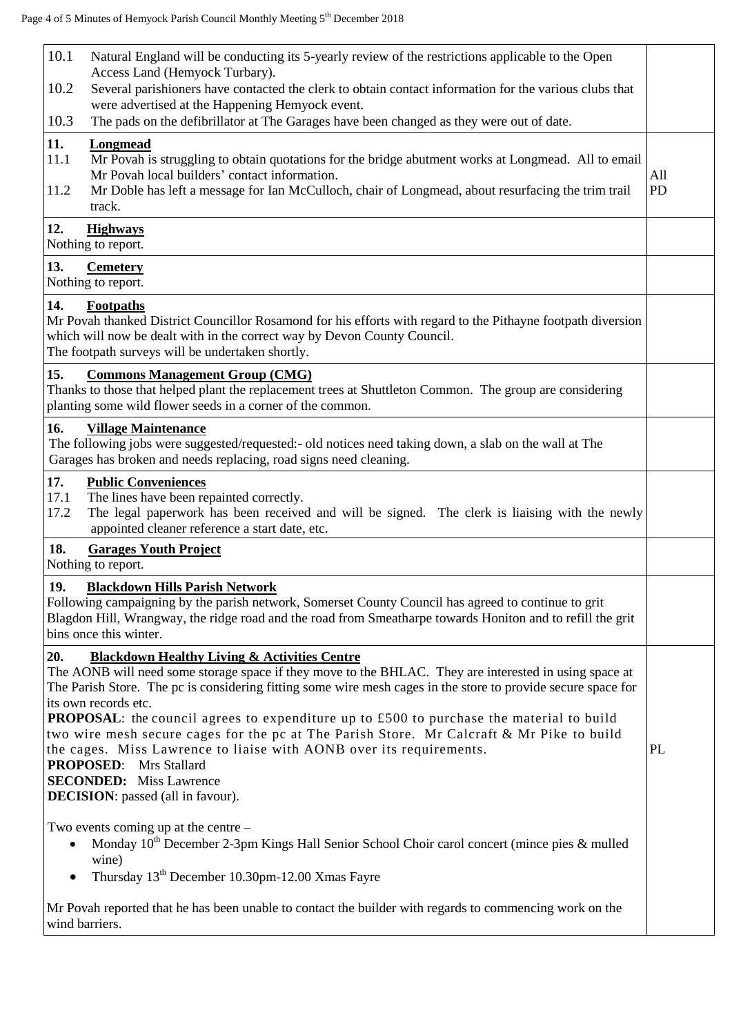| 10.1<br>Natural England will be conducting its 5-yearly review of the restrictions applicable to the Open<br>Access Land (Hemyock Turbary).                                                                                                                                                                                                                                                                                                                                                                |                  |
|------------------------------------------------------------------------------------------------------------------------------------------------------------------------------------------------------------------------------------------------------------------------------------------------------------------------------------------------------------------------------------------------------------------------------------------------------------------------------------------------------------|------------------|
| 10.2<br>Several parishioners have contacted the clerk to obtain contact information for the various clubs that<br>were advertised at the Happening Hemyock event.                                                                                                                                                                                                                                                                                                                                          |                  |
| The pads on the defibrillator at The Garages have been changed as they were out of date.<br>10.3                                                                                                                                                                                                                                                                                                                                                                                                           |                  |
| 11.<br><b>Longmead</b><br>11.1<br>Mr Povah is struggling to obtain quotations for the bridge abutment works at Longmead. All to email<br>Mr Povah local builders' contact information.<br>Mr Doble has left a message for Ian McCulloch, chair of Longmead, about resurfacing the trim trail<br>11.2<br>track.                                                                                                                                                                                             | All<br><b>PD</b> |
| 12.<br><b>Highways</b><br>Nothing to report.                                                                                                                                                                                                                                                                                                                                                                                                                                                               |                  |
| 13.<br><b>Cemetery</b><br>Nothing to report.                                                                                                                                                                                                                                                                                                                                                                                                                                                               |                  |
| 14.<br><b>Footpaths</b><br>Mr Povah thanked District Councillor Rosamond for his efforts with regard to the Pithayne footpath diversion<br>which will now be dealt with in the correct way by Devon County Council.<br>The footpath surveys will be undertaken shortly.                                                                                                                                                                                                                                    |                  |
| 15.<br><b>Commons Management Group (CMG)</b><br>Thanks to those that helped plant the replacement trees at Shuttleton Common. The group are considering<br>planting some wild flower seeds in a corner of the common.                                                                                                                                                                                                                                                                                      |                  |
| 16.<br><b>Village Maintenance</b><br>The following jobs were suggested/requested:- old notices need taking down, a slab on the wall at The<br>Garages has broken and needs replacing, road signs need cleaning.                                                                                                                                                                                                                                                                                            |                  |
| 17.<br><b>Public Conveniences</b><br>The lines have been repainted correctly.<br>17.1<br>17.2<br>The legal paperwork has been received and will be signed. The clerk is liaising with the newly<br>appointed cleaner reference a start date, etc.                                                                                                                                                                                                                                                          |                  |
| 18.<br><b>Garages Youth Project</b><br>Nothing to report.                                                                                                                                                                                                                                                                                                                                                                                                                                                  |                  |
| 19.<br><b>Blackdown Hills Parish Network</b><br>Following campaigning by the parish network, Somerset County Council has agreed to continue to grit<br>Blagdon Hill, Wrangway, the ridge road and the road from Smeatharpe towards Honiton and to refill the grit<br>bins once this winter.                                                                                                                                                                                                                |                  |
| 20.<br><b>Blackdown Healthy Living &amp; Activities Centre</b><br>The AONB will need some storage space if they move to the BHLAC. They are interested in using space at<br>The Parish Store. The pc is considering fitting some wire mesh cages in the store to provide secure space for<br>its own records etc.<br>PROPOSAL: the council agrees to expenditure up to £500 to purchase the material to build<br>two wire mesh secure cages for the pc at The Parish Store. Mr Calcraft & Mr Pike to build |                  |
| the cages. Miss Lawrence to liaise with AONB over its requirements.<br><b>PROPOSED:</b> Mrs Stallard<br><b>SECONDED:</b> Miss Lawrence                                                                                                                                                                                                                                                                                                                                                                     | PL               |
| <b>DECISION</b> : passed (all in favour).                                                                                                                                                                                                                                                                                                                                                                                                                                                                  |                  |
| Two events coming up at the centre $-$<br>Monday 10 <sup>th</sup> December 2-3pm Kings Hall Senior School Choir carol concert (mince pies & mulled<br>$\bullet$<br>wine)                                                                                                                                                                                                                                                                                                                                   |                  |
| Thursday 13 <sup>th</sup> December 10.30pm-12.00 Xmas Fayre<br>$\bullet$                                                                                                                                                                                                                                                                                                                                                                                                                                   |                  |
| Mr Povah reported that he has been unable to contact the builder with regards to commencing work on the<br>wind barriers.                                                                                                                                                                                                                                                                                                                                                                                  |                  |